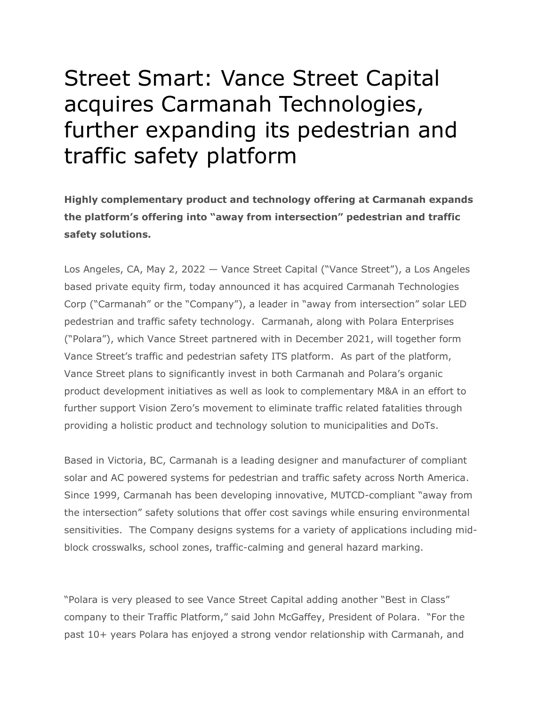## Street Smart: Vance Street Capital acquires Carmanah Technologies, further expanding its pedestrian and traffic safety platform

**Highly complementary product and technology offering at Carmanah expands the platform's offering into "away from intersection" pedestrian and traffic safety solutions.**

Los Angeles, CA, May 2, 2022 — Vance Street Capital ("Vance Street"), a Los Angeles based private equity firm, today announced it has acquired Carmanah Technologies Corp ("Carmanah" or the "Company"), a leader in "away from intersection" solar LED pedestrian and traffic safety technology. Carmanah, along with Polara Enterprises ("Polara"), which Vance Street partnered with in December 2021, will together form Vance Street's traffic and pedestrian safety ITS platform. As part of the platform, Vance Street plans to significantly invest in both Carmanah and Polara's organic product development initiatives as well as look to complementary M&A in an effort to further support Vision Zero's movement to eliminate traffic related fatalities through providing a holistic product and technology solution to municipalities and DoTs.

Based in Victoria, BC, Carmanah is a leading designer and manufacturer of compliant solar and AC powered systems for pedestrian and traffic safety across North America. Since 1999, Carmanah has been developing innovative, MUTCD-compliant "away from the intersection" safety solutions that offer cost savings while ensuring environmental sensitivities. The Company designs systems for a variety of applications including midblock crosswalks, school zones, traffic-calming and general hazard marking.

"Polara is very pleased to see Vance Street Capital adding another "Best in Class" company to their Traffic Platform," said John McGaffey, President of Polara. "For the past 10+ years Polara has enjoyed a strong vendor relationship with Carmanah, and